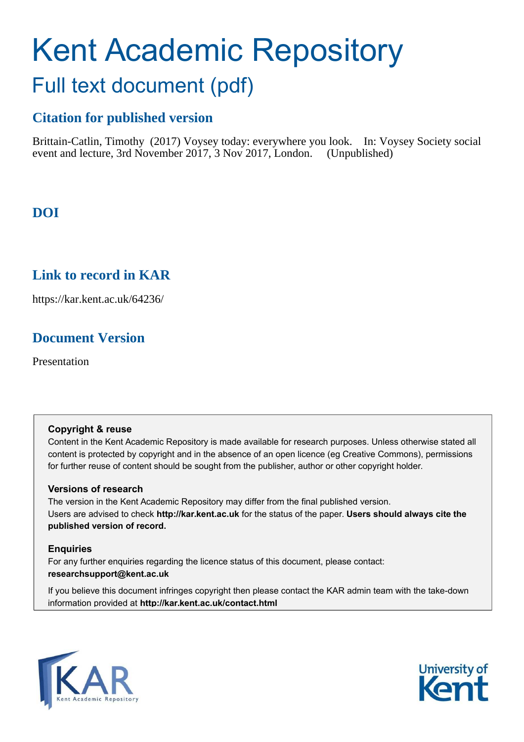# Kent Academic Repository Full text document (pdf)

# **Citation for published version**

Brittain-Catlin, Timothy (2017) Voysey today: everywhere you look. In: Voysey Society social event and lecture, 3rd November 2017, 3 Nov 2017, London. (Unpublished)

# **DOI**

# **Link to record in KAR**

https://kar.kent.ac.uk/64236/

# **Document Version**

Presentation

### **Copyright & reuse**

Content in the Kent Academic Repository is made available for research purposes. Unless otherwise stated all content is protected by copyright and in the absence of an open licence (eg Creative Commons), permissions for further reuse of content should be sought from the publisher, author or other copyright holder.

### **Versions of research**

The version in the Kent Academic Repository may differ from the final published version. Users are advised to check **http://kar.kent.ac.uk** for the status of the paper. **Users should always cite the published version of record.**

### **Enquiries**

For any further enquiries regarding the licence status of this document, please contact: **researchsupport@kent.ac.uk**

If you believe this document infringes copyright then please contact the KAR admin team with the take-down information provided at **http://kar.kent.ac.uk/contact.html**



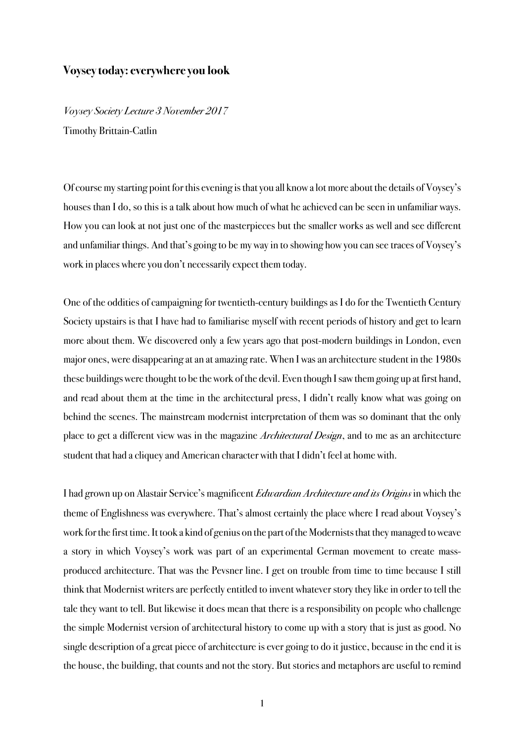#### **Voysey today: everywhere you look**

Voysey Society Lecture 3 November 2017 Timothy Brittain-Catlin

Of course my starting point for this evening is that you all know a lot more about the details of Voysey's houses than I do, so this is a talk about how much of what he achieved can be seen in unfamiliar ways. How you can look at not just one of the masterpieces but the smaller works as well and see different and unfamiliar things. And that's going to be my way in to showing how you can see traces of Voysey's work in places where you don't necessarily expect them today.

One of the oddities of campaigning for twentieth-century buildings as I do for the Twentieth Century Society upstairs is that I have had to familiarise myself with recent periods of history and get to learn more about them. We discovered only a few years ago that post-modern buildings in London, even major ones, were disappearing at an at amazing rate. When I was an architecture student in the 1980s these buildings were thought to be the work of the devil. Even though I saw them going up at first hand, and read about them at the time in the architectural press, I didn't really know what was going on behind the scenes. The mainstream modernist interpretation of them was so dominant that the only place to get a different view was in the magazine *Architectural Design*, and to me as an architecture student that had a cliquey and American character with that I didn't feel at home with.

I had grown up on Alastair Service's magnificent Edwardian Architecture and its Origins in which the theme of Englishness was everywhere. That's almost certainly the place where I read about Voysey's work for the first time. It took a kind of genius on the part of the Modernists that they managed to weave a story in which Voysey's work was part of an experimental German movement to create massproduced architecture. That was the Pevsner line. I get on trouble from time to time because I still think that Modernist writers are perfectly entitled to invent whatever story they like in order to tell the tale they want to tell. But likewise it does mean that there is a responsibility on people who challenge the simple Modernist version of architectural history to come up with a story that is just as good. No single description of a great piece of architecture is ever going to do it justice, because in the end it is the house, the building, that counts and not the story. But stories and metaphors are useful to remind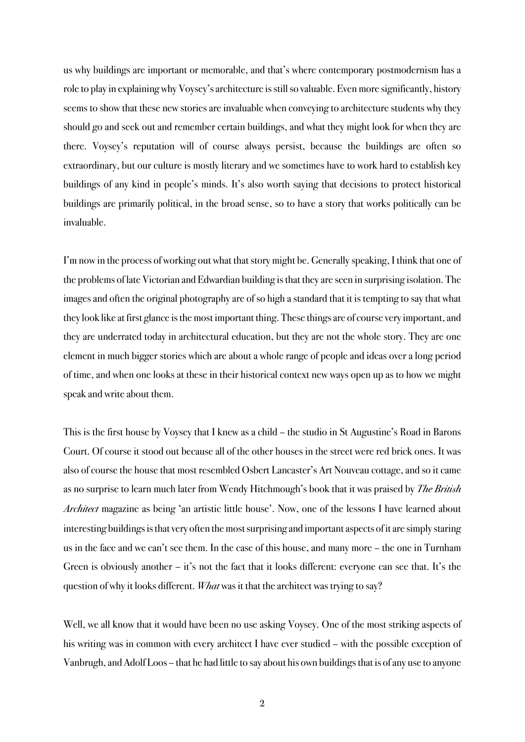us why buildings are important or memorable, and that's where contemporary postmodernism has a role to play in explaining why Voysey's architecture is still so valuable. Even more significantly, history seems to show that these new stories are invaluable when conveying to architecture students why they should go and seek out and remember certain buildings, and what they might look for when they are there. Voysey's reputation will of course always persist, because the buildings are often so extraordinary, but our culture is mostly literary and we sometimes have to work hard to establish key buildings of any kind in people's minds. It's also worth saying that decisions to protect historical buildings are primarily political, in the broad sense, so to have a story that works politically can be invaluable.

I'm now in the process of working out what that story might be. Generally speaking, I think that one of the problems of late Victorian and Edwardian building is that they are seen in surprising isolation. The images and often the original photography are of so high a standard that it is tempting to say that what they look like at first glance is the most important thing. These things are of course very important, and they are underrated today in architectural education, but they are not the whole story. They are one element in much bigger stories which are about a whole range of people and ideas over a long period of time, and when one looks at these in their historical context new ways open up as to how we might speak and write about them.

This is the first house by Voysey that I knew as a child – the studio in St Augustine's Road in Barons Court. Of course it stood out because all of the other houses in the street were red brick ones. It was also of course the house that most resembled Osbert Lancaster's Art Nouveau cottage, and so it came as no surprise to learn much later from Wendy Hitchmough's book that it was praised by *The British* Architect magazine as being 'an artistic little house'. Now, one of the lessons I have learned about interesting buildings is that very often the most surprising and important aspects of it are simply staring us in the face and we can't see them. In the case of this house, and many more – the one in Turnham Green is obviously another – it's not the fact that it looks different: everyone can see that. It's the question of why it looks different. *What* was it that the architect was trying to say?

Well, we all know that it would have been no use asking Voysey. One of the most striking aspects of his writing was in common with every architect I have ever studied – with the possible exception of Vanbrugh, and Adolf Loos – that he had little to say about his own buildings that is of any use to anyone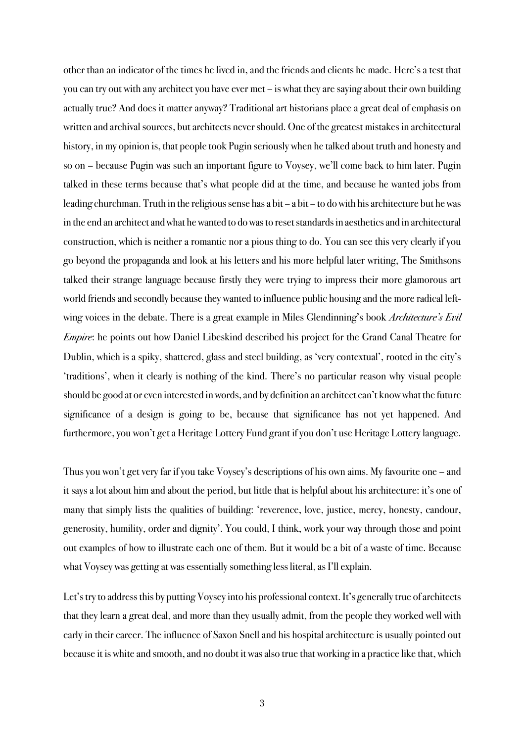other than an indicator of the times he lived in, and the friends and clients he made. Here's a test that you can try out with any architect you have ever met – is what they are saying about their own building actually true? And does it matter anyway? Traditional art historians place a great deal of emphasis on written and archival sources, but architects never should. One of the greatest mistakes in architectural history, in my opinion is, that people took Pugin seriously when he talked about truth and honesty and so on – because Pugin was such an important figure to Voysey, we'll come back to him later. Pugin talked in these terms because that's what people did at the time, and because he wanted jobs from leading churchman. Truth in the religious sense hasa bit – a bit – to do with his architecture but he was in the end an architect and what he wanted to do was to reset standards in aesthetics and in architectural construction, which is neither a romantic nor a pious thing to do. You can see this very clearly if you go beyond the propaganda and look at his letters and his more helpful later writing, The Smithsons talked their strange language because firstly they were trying to impress their more glamorous art world friends and secondly because they wanted to influence public housing and the more radical leftwing voices in the debate. There is a great example in Miles Glendinning's book *Architecture's Evil* Empire: he points out how Daniel Libeskind described his project for the Grand Canal Theatre for Dublin, which is a spiky, shattered, glass and steel building, as 'very contextual', rooted in the city's 'traditions', when it clearly is nothing of the kind. There's no particular reason why visual people should be good at or even interested in words, and by definition an architect can't know what the future significance of a design is going to be, because that significance has not yet happened. And furthermore, you won't get a Heritage Lottery Fund grant if you don't use Heritage Lottery language.

Thus you won't get very far if you take Voysey's descriptions of his own aims. My favourite one – and it says a lot about him and about the period, but little that is helpful about his architecture: it's one of many that simply lists the qualities of building: 'reverence, love, justice, mercy, honesty, candour, generosity, humility, order and dignity'. You could, I think, work your way through those and point out examples of how to illustrate each one of them. But it would be a bit of a waste of time. Because what Voysey was getting at was essentially something less literal, as I'll explain.

Let's try to address this by putting Voysey into his professional context. It's generally true of architects that they learn a great deal, and more than they usually admit, from the people they worked well with early in their career. The influence of Saxon Snell and his hospital architecture is usually pointed out because it is white and smooth, and no doubt it was also true that working in a practice like that, which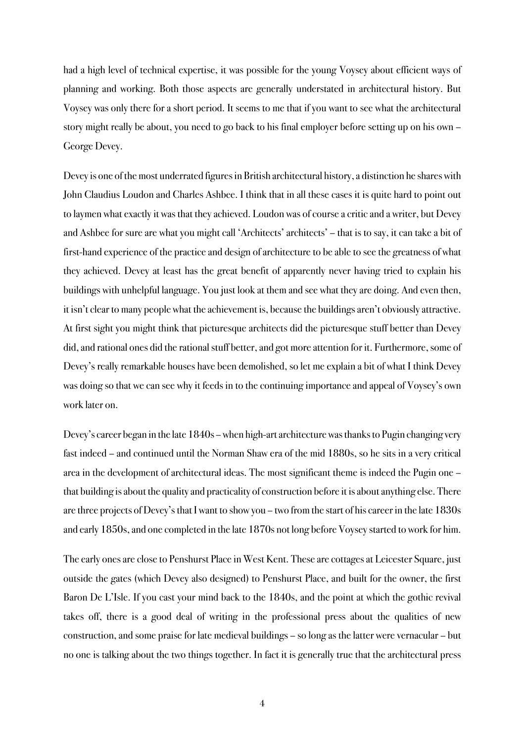had a high level of technical expertise, it was possible for the young Voysey about efficient ways of planning and working. Both those aspects are generally understated in architectural history. But Voysey was only there for a short period. It seems to me that if you want to see what the architectural story might really be about, you need to go back to his final employer before setting up on his own – George Devey.

Devey is one of the most underrated figures in British architectural history, a distinction he shares with John Claudius Loudon and Charles Ashbee. I think that in all these cases it is quite hard to point out to laymen what exactly it was that they achieved. Loudon was of course a critic and a writer, but Devey and Ashbee for sure are what you might call 'Architects' architects' – that is to say, it can take a bit of first-hand experience of the practice and design of architecture to be able to see the greatness of what they achieved. Devey at least has the great benefit of apparently never having tried to explain his buildings with unhelpful language. You just look at them and see what they are doing. And even then, it isn't clear to many people what the achievement is, because the buildings aren't obviously attractive. At first sight you might think that picturesque architects did the picturesque stuff better than Devey did, and rational ones did the rational stuff better, and got more attention for it. Furthermore, some of Devey's really remarkable houses have been demolished, so let me explain a bit of what I think Devey was doing so that we can see why it feeds in to the continuing importance and appeal of Voysey's own work later on.

Devey's career began in the late 1840s – when high-art architecture was thanks to Pugin changing very fast indeed – and continued until the Norman Shaw era of the mid 1880s, so he sits in a very critical area in the development of architectural ideas. The most significant theme is indeed the Pugin one – that building is about the quality and practicality of construction before it is about anything else. There are three projects of Devey's that I want to show you – two from the start of his career in the late 1830s and early 1850s, and one completed in the late 1870s not long before Voysey started to work for him.

The early ones are close to Penshurst Place in West Kent. These are cottages at Leicester Square, just outside the gates (which Devey also designed) to Penshurst Place, and built for the owner, the first Baron De L'Isle. If you cast your mind back to the 1840s, and the point at which the gothic revival takes off, there is a good deal of writing in the professional press about the qualities of new construction, and some praise for late medieval buildings – so long as the latter were vernacular – but no one is talking about the two things together. In fact it is generally true that the architectural press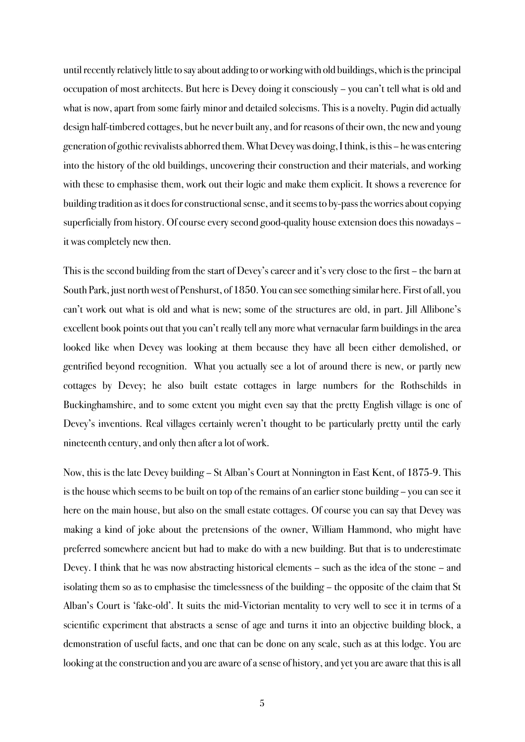until recently relatively little to say about adding to or working with old buildings, which is the principal occupation of most architects. But here is Devey doing it consciously – you can't tell what is old and what is now, apart from some fairly minor and detailed solecisms. This is a novelty. Pugin did actually design half-timbered cottages, but he never built any, and for reasons of their own, the new and young generation of gothic revivalists abhorred them. What Devey was doing,I think, is this – he was entering into the history of the old buildings, uncovering their construction and their materials, and working with these to emphasise them, work out their logic and make them explicit. It shows a reverence for building tradition as it does for constructional sense, and it seems to by-pass the worries about copying superficially from history. Of course every second good-quality house extension does this nowadays – it was completely new then.

This is the second building from the start of Devey's careerand it's very close to the first – the barn at South Park, just north west of Penshurst, of 1850. You can see something similar here. First of all, you can't work out what is old and what is new; some of the structures are old, in part. Jill Allibone's excellent book points out that you can't really tell any more what vernacular farm buildings in the area looked like when Devey was looking at them because they have all been either demolished, or gentrified beyond recognition. What you actually see a lot of around there is new, or partly new cottages by Devey; he also built estate cottages in large numbers for the Rothschilds in Buckinghamshire, and to some extent you might even say that the pretty English village is one of Devey's inventions. Real villages certainly weren't thought to be particularly pretty until the early nineteenth century, and only then after a lot of work.

Now, this is the late Devey building – St Alban's Court at Nonnington in East Kent, of 1875-9. This is the house which seems to be built on top of the remains of an earlier stone building – you can see it here on the main house, but also on the small estate cottages. Of course you can say that Devey was making a kind of joke about the pretensions of the owner, William Hammond, who might have preferred somewhere ancient but had to make do with a new building. But that is to underestimate Devey. I think that he was now abstracting historical elements – such as the idea of the stone – and isolating them so as to emphasise the timelessness of the building – the opposite of the claim that St Alban's Court is 'fake-old'. It suits the mid-Victorian mentality to very well to see it in terms of a scientific experiment that abstracts a sense of age and turns it into an objective building block, a demonstration of useful facts, and one that can be done on any scale, such as at this lodge. You are looking at the construction and you are aware of a sense of history, and yet you are aware that this is all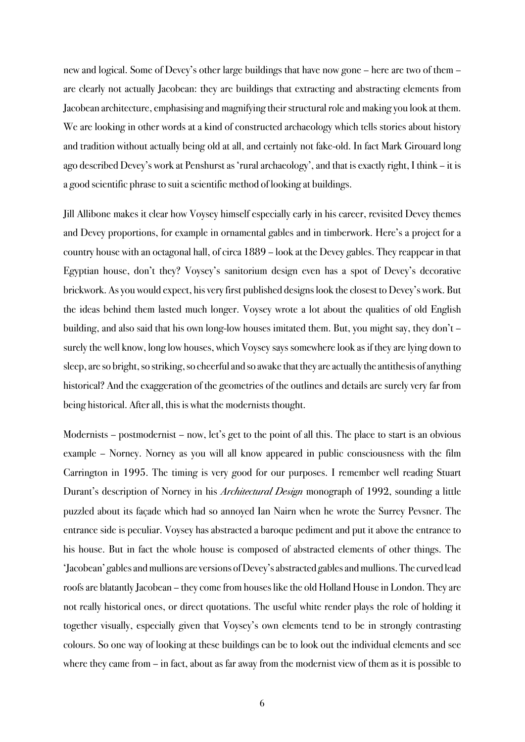new and logical. Some of Devey's other large buildings that have now gone – here are two of them – are clearly not actually Jacobean: they are buildings that extracting and abstracting elements from Jacobean architecture, emphasising and magnifying their structural role and making you look at them. We are looking in other words at a kind of constructed archaeology which tells stories about history and tradition without actually being old at all, and certainly not fake-old. In fact Mark Girouard long ago described Devey's work at Penshurst as 'rural archaeology', and that is exactly right, I think – it is a good scientific phrase to suit a scientific method of looking at buildings.

Jill Allibone makes it clear how Voysey himself especially early in his career, revisited Devey themes and Devey proportions, for example in ornamental gables and in timberwork. Here's a project for a country house with an octagonal hall, of circa 1889 – look at the Devey gables. They reappear in that Egyptian house, don't they? Voysey's sanitorium design even has a spot of Devey's decorative brickwork. As you would expect, his very first published designs look the closest to Devey's work. But the ideas behind them lasted much longer. Voysey wrote a lot about the qualities of old English building, and also said that his own long-low houses imitated them. But, you might say, they don't – surely the well know, long low houses, which Voysey says somewhere look as if they are lying down to sleep, are so bright, so striking, so cheerful and so awake that they are actually the antithesis of anything historical? And the exaggeration of the geometries of the outlines and details are surely very far from being historical. After all, this is what the modernists thought.

Modernists – postmodernist – now, let's get to the point of all this. The place to start is an obvious example – Norney. Norney as you will all know appeared in public consciousness with the film Carrington in 1995. The timing is very good for our purposes. I remember well reading Stuart Durant's description of Norney in his *Architectural Design* monograph of 1992, sounding a little puzzled about its façade which had so annoyed Ian Nairn when he wrote the Surrey Pevsner. The entrance side is peculiar. Voysey has abstracted a baroque pediment and put it above the entrance to his house. But in fact the whole house is composed of abstracted elements of other things. The 'Jacobean' gables and mullions are versions of Devey's abstracted gables and mullions.The curved lead roofs are blatantly Jacobean – they come from houses like the old Holland House in London. They are not really historical ones, or direct quotations. The useful white render plays the role of holding it together visually, especially given that Voysey's own elements tend to be in strongly contrasting colours. So one way of looking at these buildings can be to look out the individual elements and see where they came from – in fact, about as far away from the modernist view of them as it is possible to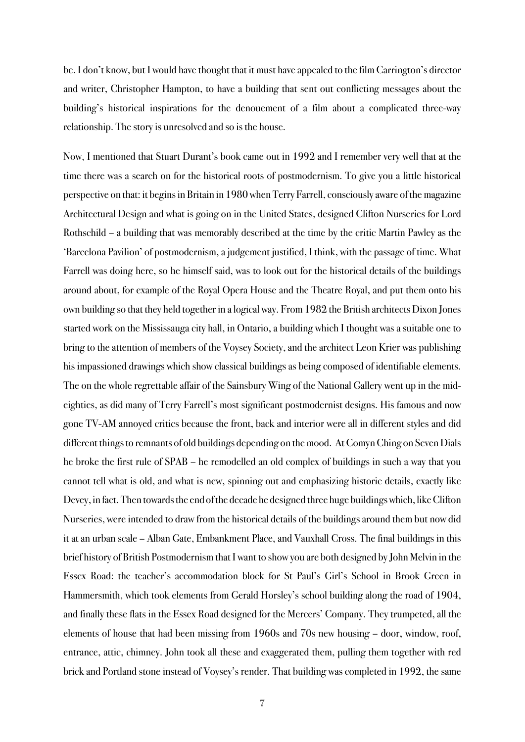be. I don't know, but I would have thought that it must have appealed to the film Carrington's director and writer, Christopher Hampton, to have a building that sent out conflicting messages about the building's historical inspirations for the denouement of a film about a complicated three-way relationship. The story is unresolved and so is the house.

Now, I mentioned that Stuart Durant's book came out in 1992 and I remember very well that at the time there was a search on for the historical roots of postmodernism. To give you a little historical perspective on that: it begins in Britain in 1980 when Terry Farrell, consciously aware of the magazine Architectural Design and what is going on in the United States, designed Clifton Nurseries for Lord Rothschild – a building that was memorably described at the time by the critic Martin Pawley as the 'Barcelona Pavilion' of postmodernism, a judgement justified, I think, with the passage of time. What Farrell was doing here, so he himself said, was to look out for the historical details of the buildings around about, for example of the Royal Opera House and the Theatre Royal, and put them onto his own building so that they held together in a logical way. From 1982 the British architects Dixon Jones started work on the Mississauga city hall, in Ontario, a building which I thought was a suitable one to bring to the attention of members of the Voysey Society, and the architect Leon Krier was publishing his impassioned drawings which show classical buildings as being composed of identifiable elements. The on the whole regrettable affair of the Sainsbury Wing of the National Gallery went up in the mideighties, as did many of Terry Farrell's most significant postmodernist designs. His famous and now gone TV-AM annoyed critics because the front, back and interior were all in different styles and did different things to remnants of old buildings depending on the mood. AtComyn Ching on Seven Dials he broke the first rule of SPAB – he remodelled an old complex of buildings in such a way that you cannot tell what is old, and what is new, spinning out and emphasizing historic details, exactly like Devey, in fact.Then towards the end of the decade he designed three huge buildings which, like Clifton Nurseries, were intended to draw from the historical details of the buildings around them but now did it at an urban scale – Alban Gate, Embankment Place, and Vauxhall Cross. The final buildings in this brief history of British Postmodernism that I want to show you are both designed by John Melvin in the Essex Road: the teacher's accommodation block for St Paul's Girl's School in Brook Green in Hammersmith, which took elements from Gerald Horsley's school building along the road of 1904, and finally these flats in the Essex Road designed for the Mercers' Company. They trumpeted, all the elements of house that had been missing from 1960s and 70s new housing – door, window, roof, entrance, attic, chimney. John took all these and exaggerated them, pulling them together with red brick and Portland stone instead of Voysey's render. That building was completed in 1992, the same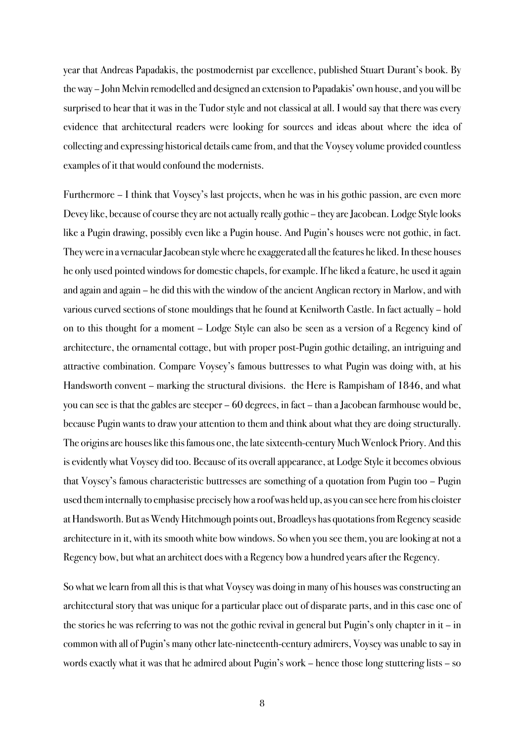year that Andreas Papadakis, the postmodernist par excellence, published Stuart Durant's book. By the way – John Melvin remodelled and designed an extension to Papadakis' own house, and you will be surprised to hear that it was in the Tudor style and not classical at all. I would say that there was every evidence that architectural readers were looking for sources and ideas about where the idea of collecting and expressing historical details came from, and that the Voysey volume provided countless examples of it that would confound the modernists.

Furthermore – I think that Voysey's last projects, when he was in his gothic passion, are even more Devey like, because of course they are not actually really gothic – they are Jacobean. Lodge Style looks like a Pugin drawing, possibly even like a Pugin house. And Pugin's houses were not gothic, in fact. They were in a vernacular Jacobean style where he exaggerated all the features he liked. In these houses he only used pointed windows for domestic chapels, for example. If he liked a feature, he used it again and again and again – he did this with the window of the ancient Anglican rectory in Marlow, and with various curved sections of stone mouldings that he found at Kenilworth Castle. In fact actually – hold on to this thought for a moment – Lodge Style can also be seen as a version of a Regency kind of architecture, the ornamental cottage, but with proper post-Pugin gothic detailing, an intriguing and attractive combination. Compare Voysey's famous buttresses to what Pugin was doing with, at his Handsworth convent – marking the structural divisions. the Here is Rampisham of 1846, and what you can see is that the gables are steeper – 60 degrees, in fact – than a Jacobean farmhouse would be, because Pugin wants to draw your attention to them and think about what they are doing structurally. The origins are houses like this famous one, the late sixteenth-century Much Wenlock Priory. And this is evidently what Voysey did too. Because of its overall appearance, at Lodge Style it becomes obvious that Voysey's famous characteristic buttresses are something of a quotation from Pugin too – Pugin used them internally to emphasise precisely how a roof was held up, as you can see here from his cloister at Handsworth. But as Wendy Hitchmough points out, Broadleys has quotations from Regency seaside architecture in it, with its smooth white bow windows. So when you see them, you are looking at not a Regency bow, but what an architect does with a Regency bow a hundred years after the Regency.

So what we learn from all this is that what Voysey was doing in many of his houses was constructing an architectural story that was unique for a particular place out of disparate parts, and in this case one of the stories he was referring to was not the gothic revival in general but Pugin's only chapter in it – in common with all of Pugin's many other late-nineteenth-century admirers, Voysey was unable to say in words exactly what it was that he admired about Pugin's work – hence those long stuttering lists – so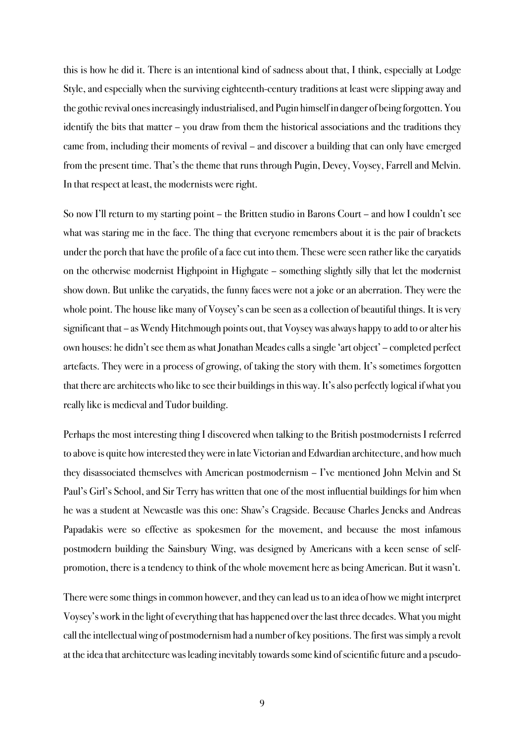this is how he did it. There is an intentional kind of sadness about that, I think, especially at Lodge Style, and especially when the surviving eighteenth-century traditions at least were slipping away and the gothic revival ones increasingly industrialised, and Pugin himself in danger of being forgotten. You identify the bits that matter – you draw from them the historical associations and the traditions they came from, including their moments of revival – and discover a building that can only have emerged from the present time. That's the theme that runs through Pugin, Devey, Voysey, Farrell and Melvin. In that respect at least, the modernists were right.

So now I'll return to my starting point – the Britten studio in Barons Court – and how I couldn't see what was staring me in the face. The thing that everyone remembers about it is the pair of brackets under the porch that have the profile of a face cut into them. These were seen rather like the caryatids on the otherwise modernist Highpoint in Highgate – something slightly silly that let the modernist show down. But unlike the caryatids, the funny faces were not a joke or an aberration. They were the whole point. The house like many of Voysey's can be seen as a collection of beautiful things. It is very significant that – as Wendy Hitchmough points out, that Voysey was always happy to add to or alter his own houses: he didn't see them as what Jonathan Meades calls a single 'art object' – completed perfect artefacts. They were in a process of growing, of taking the story with them. It's sometimes forgotten that there are architects who like to see their buildings in this way. It's also perfectly logical if what you really like is medieval and Tudor building.

Perhaps the most interesting thing I discovered when talking to the British postmodernists I referred to above is quite how interested they were in late Victorian and Edwardian architecture, and how much they disassociated themselves with American postmodernism – I've mentioned John Melvin and St Paul's Girl's School, and Sir Terry has written that one of the most influential buildings for him when he was a student at Newcastle was this one: Shaw's Cragside. Because Charles Jencks and Andreas Papadakis were so effective as spokesmen for the movement, and because the most infamous postmodern building the Sainsbury Wing, was designed by Americans with a keen sense of selfpromotion, there is a tendency to think of the whole movement here as being American. But it wasn't.

There were some things in common however, and they can lead us to an idea of how we might interpret Voysey's work in the light of everything that has happened over the last three decades. What you might call the intellectual wing of postmodernism had a number of key positions. The first was simply a revolt at the idea that architecture was leading inevitably towards some kind of scientific future and a pseudo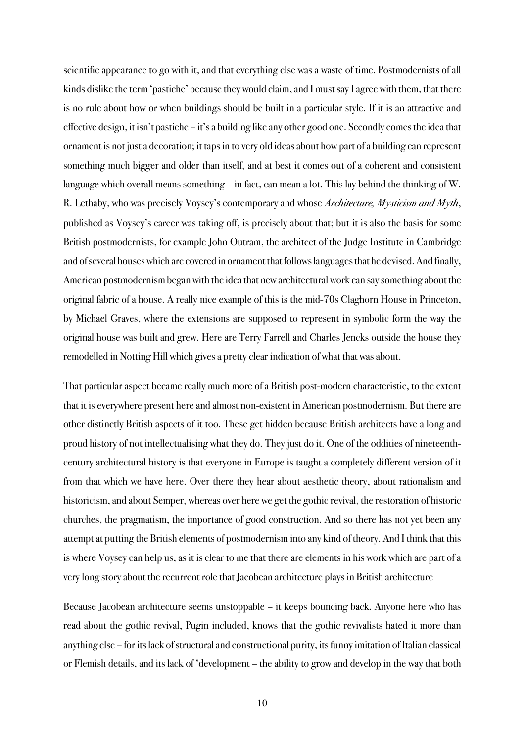scientific appearance to go with it, and that everything else was a waste of time. Postmodernists of all kinds dislike the term 'pastiche' because they would claim, and I must say I agree with them, that there is no rule about how or when buildings should be built in a particular style. If it is an attractive and effective design, it isn't pastiche – it's a building like any other good one. Secondly comes the idea that ornament is not just a decoration; it taps in to very old ideas about how part of a building can represent something much bigger and older than itself, and at best it comes out of a coherent and consistent language which overall means something – in fact, can mean a lot. This lay behind the thinking of W. R. Lethaby, who was precisely Voysey's contemporary and whose Architecture, Mysticism and Myth, published as Voysey's career was taking off, is precisely about that; but it is also the basis for some British postmodernists, for example John Outram, the architect of the Judge Institute in Cambridge and of several houses which are covered in ornament that follows languages that he devised. And finally, American postmodernism began with the idea that new architectural work can say something about the original fabric of a house. A really nice example of this is the mid-70s Claghorn House in Princeton, by Michael Graves, where the extensions are supposed to represent in symbolic form the way the original house was built and grew. Here are Terry Farrell and Charles Jencks outside the house they remodelled in Notting Hill which gives a pretty clear indication of what that was about.

That particular aspect became really much more of a British post-modern characteristic, to the extent that it is everywhere present here and almost non-existent in American postmodernism. But there are other distinctly British aspects of it too. These get hidden because British architects have a long and proud history of not intellectualising what they do. They just do it. One of the oddities of nineteenthcentury architectural history is that everyone in Europe is taught a completely different version of it from that which we have here. Over there they hear about aesthetic theory, about rationalism and historicism, and about Semper, whereas over here we get the gothic revival, the restoration of historic churches, the pragmatism, the importance of good construction. And so there has not yet been any attempt at putting the British elements of postmodernism into any kind of theory. And I think that this is where Voysey can help us, as it is clear to me that there are elements in his work which are part of a very long story about the recurrent role that Jacobean architecture plays in British architecture

Because Jacobean architecture seems unstoppable – it keeps bouncing back. Anyone here who has read about the gothic revival, Pugin included, knows that the gothic revivalists hated it more than anything else – for its lack of structural and constructional purity, its funny imitation of Italian classical or Flemish details, and its lack of 'development – the ability to grow and develop in the way that both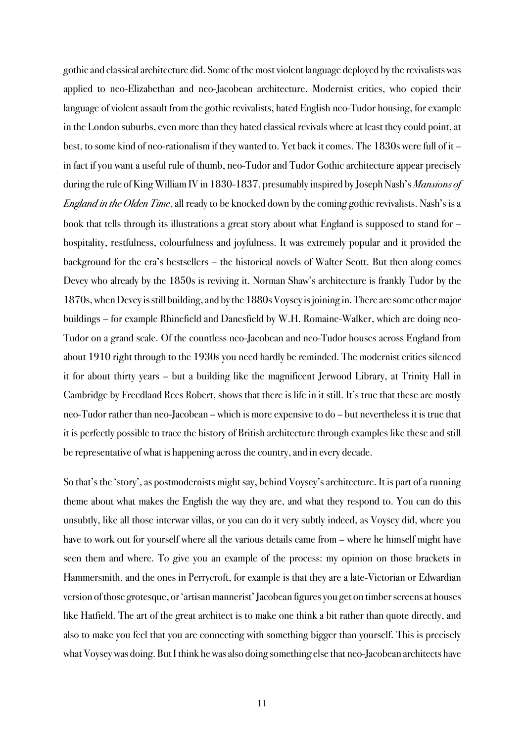gothic and classical architecture did. Some of the most violent language deployed by the revivalists was applied to neo-Elizabethan and neo-Jacobean architecture. Modernist critics, who copied their language of violent assault from the gothic revivalists, hated English neo-Tudor housing, for example in the London suburbs, even more than they hated classical revivals where at least they could point, at best, to some kind of neo-rationalism if they wanted to. Yet back it comes. The 1830s were full of it – in fact if you want a useful rule of thumb, neo-Tudor and Tudor Gothic architecture appear precisely during the rule of King William IV in 1830-1837, presumably inspired by Joseph Nash's *Mansions of England in the Olden Time*, all ready to be knocked down by the coming gothic revivalists. Nash's is a book that tells through its illustrations a great story about what England is supposed to stand for – hospitality, restfulness, colourfulness and joyfulness. It was extremely popular and it provided the background for the era's bestsellers – the historical novels of Walter Scott. But then along comes Devey who already by the 1850s is reviving it. Norman Shaw's architecture is frankly Tudor by the 1870s, when Devey is still building, and by the 1880s Voysey is joining in. There are some other major buildings – for example Rhinefield and Danesfield by W.H. Romaine-Walker, which are doing neo-Tudor on a grand scale. Of the countless neo-Jacobean and neo-Tudor houses across England from about 1910 right through to the 1930s you need hardly be reminded. The modernist critics silenced it for about thirty years – but a building like the magnificent Jerwood Library, at Trinity Hall in Cambridge by Freedland Rees Robert, shows that there is life in it still. It's true that these are mostly neo-Tudor rather than neo-Jacobean – which is more expensive to do – but nevertheless it is true that it is perfectly possible to trace the history of British architecture through examples like these and still be representative of what is happening across the country, and in every decade.

So that's the 'story', as postmodernists might say, behind Voysey's architecture. It is part of a running theme about what makes the English the way they are, and what they respond to. You can do this unsubtly, like all those interwar villas, or you can do it very subtly indeed, as Voysey did, where you have to work out for yourself where all the various details came from – where he himself might have seen them and where. To give you an example of the process: my opinion on those brackets in Hammersmith, and the ones in Perrycroft, for example is that they are a late-Victorian or Edwardian version of those grotesque, or 'artisan mannerist' Jacobean figures you get on timber screens at houses like Hatfield. The art of the great architect is to make one think a bit rather than quote directly, and also to make you feel that you are connecting with something bigger than yourself. This is precisely what Voysey was doing. But I think he was also doing something else that neo-Jacobean architects have